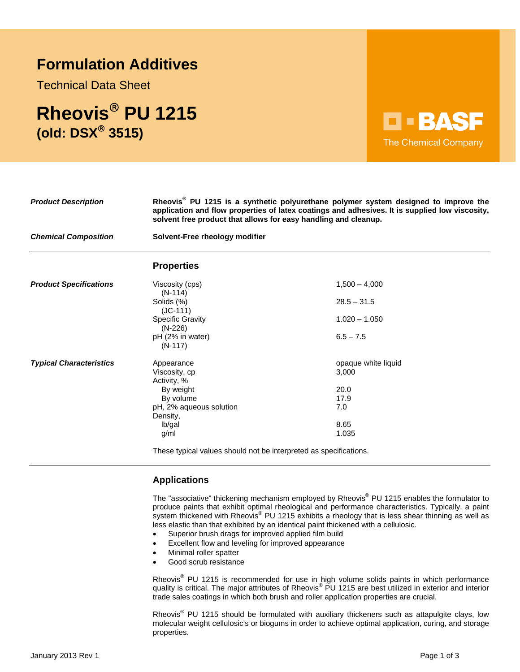# **Formulation Additives**

Technical Data Sheet

**Rheovis PU 1215 (old: DSX 3515)** 



| <b>Product Description</b>     | Rheovis <sup>®</sup> PU 1215 is a synthetic polyurethane polymer system designed to improve the<br>application and flow properties of latex coatings and adhesives. It is supplied low viscosity,<br>solvent free product that allows for easy handling and cleanup.<br>Solvent-Free rheology modifier |                     |
|--------------------------------|--------------------------------------------------------------------------------------------------------------------------------------------------------------------------------------------------------------------------------------------------------------------------------------------------------|---------------------|
| <b>Chemical Composition</b>    |                                                                                                                                                                                                                                                                                                        |                     |
|                                | <b>Properties</b>                                                                                                                                                                                                                                                                                      |                     |
| <b>Product Specifications</b>  | Viscosity (cps)<br>$(N-114)$                                                                                                                                                                                                                                                                           | $1,500 - 4,000$     |
|                                | Solids (%)<br>$(JC-111)$                                                                                                                                                                                                                                                                               | $28.5 - 31.5$       |
|                                | <b>Specific Gravity</b><br>$(N-226)$                                                                                                                                                                                                                                                                   | $1.020 - 1.050$     |
|                                | pH (2% in water)<br>$(N-117)$                                                                                                                                                                                                                                                                          | $6.5 - 7.5$         |
| <b>Typical Characteristics</b> | Appearance                                                                                                                                                                                                                                                                                             | opaque white liquid |
|                                | Viscosity, cp<br>Activity, %                                                                                                                                                                                                                                                                           | 3,000               |
|                                | By weight                                                                                                                                                                                                                                                                                              | 20.0                |
|                                | By volume                                                                                                                                                                                                                                                                                              | 17.9                |
|                                | pH, 2% aqueous solution                                                                                                                                                                                                                                                                                | 7.0                 |
|                                | Density,                                                                                                                                                                                                                                                                                               |                     |
|                                | lb/gal                                                                                                                                                                                                                                                                                                 | 8.65                |
|                                | g/ml                                                                                                                                                                                                                                                                                                   | 1.035               |
|                                | These tupical values should not be interpreted as specifications                                                                                                                                                                                                                                       |                     |

These typical values should not be interpreted as specifications.

# **Applications**

The "associative" thickening mechanism employed by Rheovis<sup>®</sup> PU 1215 enables the formulator to produce paints that exhibit optimal rheological and performance characteristics. Typically, a paint system thickened with Rheovis® PU 1215 exhibits a rheology that is less shear thinning as well as less elastic than that exhibited by an identical paint thickened with a cellulosic.

- Superior brush drags for improved applied film build
- Excellent flow and leveling for improved appearance
- Minimal roller spatter
- Good scrub resistance

Rheovis<sup>®</sup> PU 1215 is recommended for use in high volume solids paints in which performance quality is critical. The major attributes of Rheovis® PU 1215 are best utilized in exterior and interior trade sales coatings in which both brush and roller application properties are crucial.

Rheovis<sup>®</sup> PU 1215 should be formulated with auxiliary thickeners such as attapulgite clays, low molecular weight cellulosic's or biogums in order to achieve optimal application, curing, and storage properties.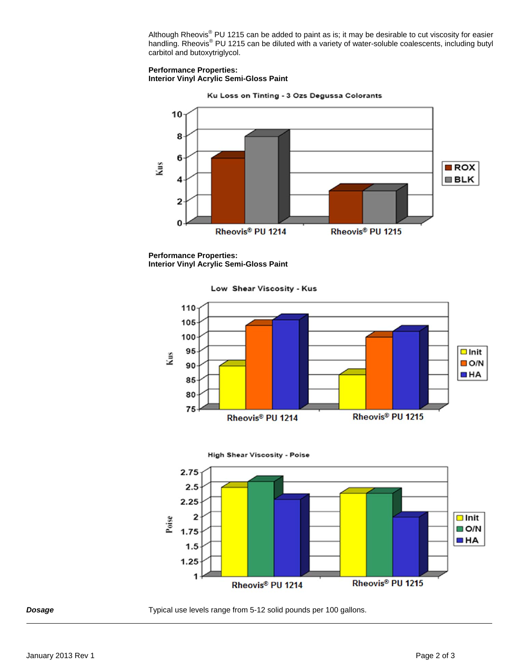Although Rheovis<sup>®</sup> PU 1215 can be added to paint as is; it may be desirable to cut viscosity for easier handling. Rheovis<sup>®</sup> PU 1215 can be diluted with a variety of water-soluble coalescents, including butyl carbitol and butoxytriglycol.

### **Performance Properties: Interior Vinyl Acrylic Semi-Gloss Paint**



Ku Loss on Tinting - 3 Ozs Degussa Colorants

**Performance Properties: Interior Vinyl Acrylic Semi-Gloss Paint** 

Low Shear Viscosity - Kus







**Dosage** *Typical use levels range from 5-12 solid pounds per 100 gallons.*